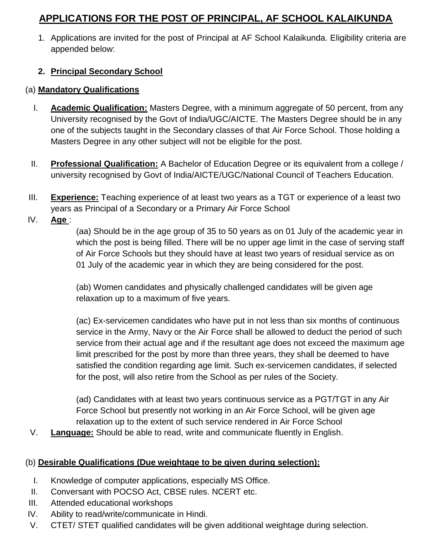## **APPLICATIONS FOR THE POST OF PRINCIPAL, AF SCHOOL KALAIKUNDA**

1. Applications are invited for the post of Principal at AF School Kalaikunda. Eligibility criteria are appended below:

## **2. Principal Secondary School**

## (a) **Mandatory Qualifications**

- I. **Academic Qualification:** Masters Degree, with a minimum aggregate of 50 percent, from any University recognised by the Govt of India/UGC/AICTE. The Masters Degree should be in any one of the subjects taught in the Secondary classes of that Air Force School. Those holding a Masters Degree in any other subject will not be eligible for the post.
- II. **Professional Qualification:** A Bachelor of Education Degree or its equivalent from a college / university recognised by Govt of India/AICTE/UGC/National Council of Teachers Education.
- III. **Experience:** Teaching experience of at least two years as a TGT or experience of a least two years as Principal of a Secondary or a Primary Air Force School
- IV. **Age** :

(aa) Should be in the age group of 35 to 50 years as on 01 July of the academic year in which the post is being filled. There will be no upper age limit in the case of serving staff of Air Force Schools but they should have at least two years of residual service as on 01 July of the academic year in which they are being considered for the post.

(ab) Women candidates and physically challenged candidates will be given age relaxation up to a maximum of five years.

(ac) Ex-servicemen candidates who have put in not less than six months of continuous service in the Army, Navy or the Air Force shall be allowed to deduct the period of such service from their actual age and if the resultant age does not exceed the maximum age limit prescribed for the post by more than three years, they shall be deemed to have satisfied the condition regarding age limit. Such ex-servicemen candidates, if selected for the post, will also retire from the School as per rules of the Society.

(ad) Candidates with at least two years continuous service as a PGT/TGT in any Air Force School but presently not working in an Air Force School, will be given age relaxation up to the extent of such service rendered in Air Force School

V. **Language:** Should be able to read, write and communicate fluently in English.

## (b) **Desirable Qualifications (Due weightage to be given during selection):**

- I. Knowledge of computer applications, especially MS Office.
- II. Conversant with POCSO Act, CBSE rules. NCERT etc.
- III. Attended educational workshops
- IV. Ability to read/write/communicate in Hindi.
- V. CTET/ STET qualified candidates will be given additional weightage during selection.